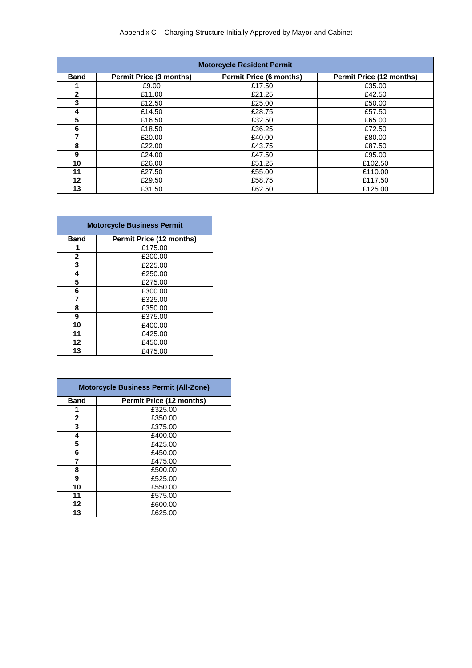| <b>Motorcycle Resident Permit</b> |                                |                                |                                 |  |  |  |
|-----------------------------------|--------------------------------|--------------------------------|---------------------------------|--|--|--|
| <b>Band</b>                       | <b>Permit Price (3 months)</b> | <b>Permit Price (6 months)</b> | <b>Permit Price (12 months)</b> |  |  |  |
|                                   | £9.00                          | £17.50                         | £35.00                          |  |  |  |
| $\mathbf{2}$                      | £11.00                         | £21.25                         | £42.50                          |  |  |  |
| 3                                 | £12.50                         | £25.00                         | £50.00                          |  |  |  |
| 4                                 | £14.50                         | £28.75                         | £57.50                          |  |  |  |
| 5                                 | £16.50                         | £32.50                         | £65.00                          |  |  |  |
| 6                                 | £18.50                         | £36.25                         | £72.50                          |  |  |  |
|                                   | £20.00                         | £40.00                         | £80.00                          |  |  |  |
| 8                                 | £22.00                         | £43.75                         | £87.50                          |  |  |  |
| 9                                 | £24.00                         | £47.50                         | £95.00                          |  |  |  |
| 10                                | £26.00                         | £51.25                         | £102.50                         |  |  |  |
| 11                                | £27.50                         | £55.00                         | £110.00                         |  |  |  |
| 12                                | £29.50                         | £58.75                         | £117.50                         |  |  |  |
| 13                                | £31.50                         | £62.50                         | £125.00                         |  |  |  |

| <b>Motorcycle Business Permit</b> |                                 |  |  |  |
|-----------------------------------|---------------------------------|--|--|--|
| <b>Band</b>                       | <b>Permit Price (12 months)</b> |  |  |  |
| 1                                 | £175.00                         |  |  |  |
| $\mathbf{2}$                      | £200.00                         |  |  |  |
| 3                                 | £225.00                         |  |  |  |
| 4                                 | £250.00                         |  |  |  |
| 5                                 | £275.00                         |  |  |  |
| 6                                 | £300.00                         |  |  |  |
| 7                                 | £325.00                         |  |  |  |
| 8                                 | £350.00                         |  |  |  |
| 9                                 | £375.00                         |  |  |  |
| 10                                | £400.00                         |  |  |  |
| 11                                | £425.00                         |  |  |  |
| 12                                | £450.00                         |  |  |  |
| 13                                | £475.00                         |  |  |  |

| <b>Motorcycle Business Permit (All-Zone)</b> |                                 |  |  |  |
|----------------------------------------------|---------------------------------|--|--|--|
| <b>Band</b>                                  | <b>Permit Price (12 months)</b> |  |  |  |
| 1                                            | £325.00                         |  |  |  |
| 2                                            | £350.00                         |  |  |  |
| 3                                            | £375.00                         |  |  |  |
| 4                                            | £400.00                         |  |  |  |
| 5                                            | £425.00                         |  |  |  |
| 6                                            | £450.00                         |  |  |  |
| 7                                            | £475.00                         |  |  |  |
| 8                                            | £500.00                         |  |  |  |
| 9                                            | £525.00                         |  |  |  |
| 10                                           | £550.00                         |  |  |  |
| 11                                           | £575.00                         |  |  |  |
| $12 \,$                                      | £600.00                         |  |  |  |
| 13                                           | £625.00                         |  |  |  |